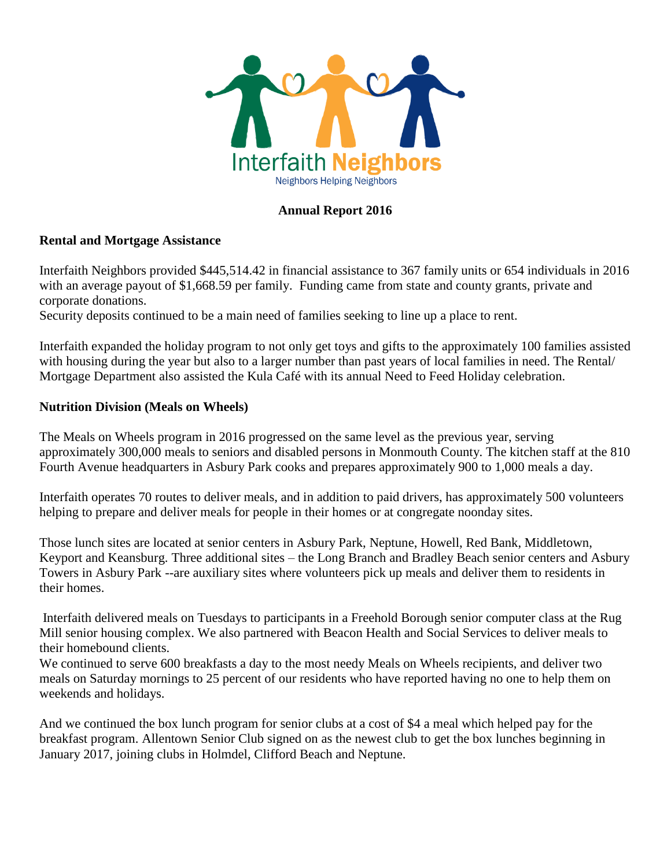

### **Annual Report 2016**

#### **Rental and Mortgage Assistance**

Interfaith Neighbors provided \$445,514.42 in financial assistance to 367 family units or 654 individuals in 2016 with an average payout of \$1,668.59 per family. Funding came from state and county grants, private and corporate donations.

Security deposits continued to be a main need of families seeking to line up a place to rent.

Interfaith expanded the holiday program to not only get toys and gifts to the approximately 100 families assisted with housing during the year but also to a larger number than past years of local families in need. The Rental/ Mortgage Department also assisted the Kula Café with its annual Need to Feed Holiday celebration.

#### **Nutrition Division (Meals on Wheels)**

The Meals on Wheels program in 2016 progressed on the same level as the previous year, serving approximately 300,000 meals to seniors and disabled persons in Monmouth County. The kitchen staff at the 810 Fourth Avenue headquarters in Asbury Park cooks and prepares approximately 900 to 1,000 meals a day.

Interfaith operates 70 routes to deliver meals, and in addition to paid drivers, has approximately 500 volunteers helping to prepare and deliver meals for people in their homes or at congregate noonday sites.

Those lunch sites are located at senior centers in Asbury Park, Neptune, Howell, Red Bank, Middletown, Keyport and Keansburg. Three additional sites – the Long Branch and Bradley Beach senior centers and Asbury Towers in Asbury Park --are auxiliary sites where volunteers pick up meals and deliver them to residents in their homes.

Interfaith delivered meals on Tuesdays to participants in a Freehold Borough senior computer class at the Rug Mill senior housing complex. We also partnered with Beacon Health and Social Services to deliver meals to their homebound clients.

We continued to serve 600 breakfasts a day to the most needy Meals on Wheels recipients, and deliver two meals on Saturday mornings to 25 percent of our residents who have reported having no one to help them on weekends and holidays.

And we continued the box lunch program for senior clubs at a cost of \$4 a meal which helped pay for the breakfast program. Allentown Senior Club signed on as the newest club to get the box lunches beginning in January 2017, joining clubs in Holmdel, Clifford Beach and Neptune.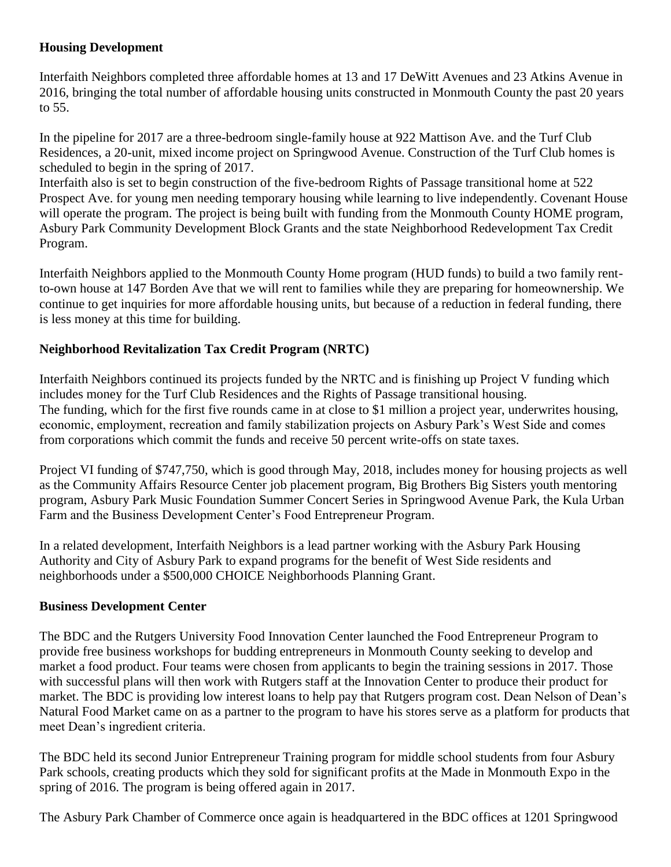# **Housing Development**

Interfaith Neighbors completed three affordable homes at 13 and 17 DeWitt Avenues and 23 Atkins Avenue in 2016, bringing the total number of affordable housing units constructed in Monmouth County the past 20 years to 55.

In the pipeline for 2017 are a three-bedroom single-family house at 922 Mattison Ave. and the Turf Club Residences, a 20-unit, mixed income project on Springwood Avenue. Construction of the Turf Club homes is scheduled to begin in the spring of 2017.

Interfaith also is set to begin construction of the five-bedroom Rights of Passage transitional home at 522 Prospect Ave. for young men needing temporary housing while learning to live independently. Covenant House will operate the program. The project is being built with funding from the Monmouth County HOME program, Asbury Park Community Development Block Grants and the state Neighborhood Redevelopment Tax Credit Program.

Interfaith Neighbors applied to the Monmouth County Home program (HUD funds) to build a two family rentto-own house at 147 Borden Ave that we will rent to families while they are preparing for homeownership. We continue to get inquiries for more affordable housing units, but because of a reduction in federal funding, there is less money at this time for building.

## **Neighborhood Revitalization Tax Credit Program (NRTC)**

Interfaith Neighbors continued its projects funded by the NRTC and is finishing up Project V funding which includes money for the Turf Club Residences and the Rights of Passage transitional housing. The funding, which for the first five rounds came in at close to \$1 million a project year, underwrites housing, economic, employment, recreation and family stabilization projects on Asbury Park's West Side and comes from corporations which commit the funds and receive 50 percent write-offs on state taxes.

Project VI funding of \$747,750, which is good through May, 2018, includes money for housing projects as well as the Community Affairs Resource Center job placement program, Big Brothers Big Sisters youth mentoring program, Asbury Park Music Foundation Summer Concert Series in Springwood Avenue Park, the Kula Urban Farm and the Business Development Center's Food Entrepreneur Program.

In a related development, Interfaith Neighbors is a lead partner working with the Asbury Park Housing Authority and City of Asbury Park to expand programs for the benefit of West Side residents and neighborhoods under a \$500,000 CHOICE Neighborhoods Planning Grant.

### **Business Development Center**

The BDC and the Rutgers University Food Innovation Center launched the Food Entrepreneur Program to provide free business workshops for budding entrepreneurs in Monmouth County seeking to develop and market a food product. Four teams were chosen from applicants to begin the training sessions in 2017. Those with successful plans will then work with Rutgers staff at the Innovation Center to produce their product for market. The BDC is providing low interest loans to help pay that Rutgers program cost. Dean Nelson of Dean's Natural Food Market came on as a partner to the program to have his stores serve as a platform for products that meet Dean's ingredient criteria.

The BDC held its second Junior Entrepreneur Training program for middle school students from four Asbury Park schools, creating products which they sold for significant profits at the Made in Monmouth Expo in the spring of 2016. The program is being offered again in 2017.

The Asbury Park Chamber of Commerce once again is headquartered in the BDC offices at 1201 Springwood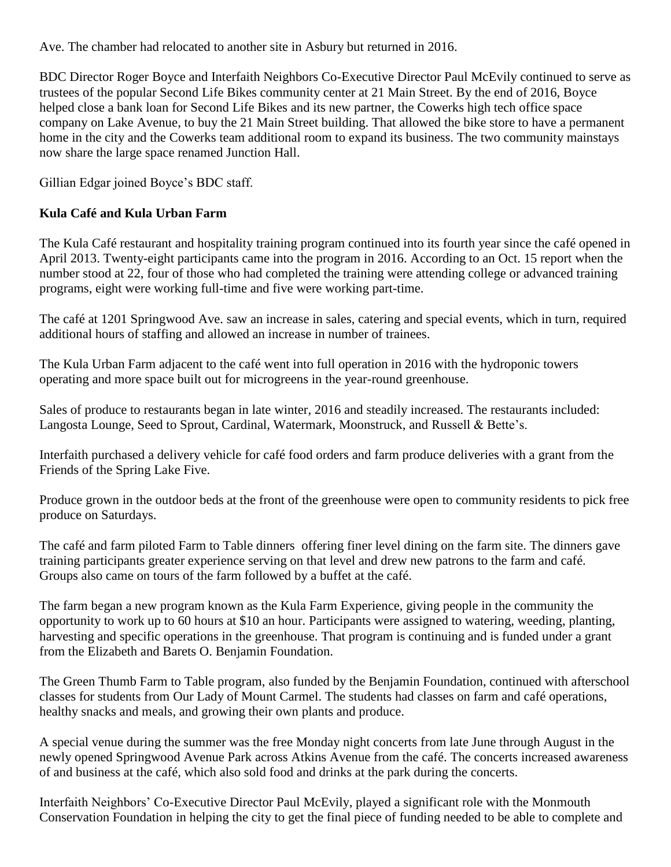Ave. The chamber had relocated to another site in Asbury but returned in 2016.

BDC Director Roger Boyce and Interfaith Neighbors Co-Executive Director Paul McEvily continued to serve as trustees of the popular Second Life Bikes community center at 21 Main Street. By the end of 2016, Boyce helped close a bank loan for Second Life Bikes and its new partner, the Cowerks high tech office space company on Lake Avenue, to buy the 21 Main Street building. That allowed the bike store to have a permanent home in the city and the Cowerks team additional room to expand its business. The two community mainstays now share the large space renamed Junction Hall.

Gillian Edgar joined Boyce's BDC staff.

# **Kula Café and Kula Urban Farm**

The Kula Café restaurant and hospitality training program continued into its fourth year since the café opened in April 2013. Twenty-eight participants came into the program in 2016. According to an Oct. 15 report when the number stood at 22, four of those who had completed the training were attending college or advanced training programs, eight were working full-time and five were working part-time.

The café at 1201 Springwood Ave. saw an increase in sales, catering and special events, which in turn, required additional hours of staffing and allowed an increase in number of trainees.

The Kula Urban Farm adjacent to the café went into full operation in 2016 with the hydroponic towers operating and more space built out for microgreens in the year-round greenhouse.

Sales of produce to restaurants began in late winter, 2016 and steadily increased. The restaurants included: Langosta Lounge, Seed to Sprout, Cardinal, Watermark, Moonstruck, and Russell & Bette's.

Interfaith purchased a delivery vehicle for café food orders and farm produce deliveries with a grant from the Friends of the Spring Lake Five.

Produce grown in the outdoor beds at the front of the greenhouse were open to community residents to pick free produce on Saturdays.

The café and farm piloted Farm to Table dinners offering finer level dining on the farm site. The dinners gave training participants greater experience serving on that level and drew new patrons to the farm and café. Groups also came on tours of the farm followed by a buffet at the café.

The farm began a new program known as the Kula Farm Experience, giving people in the community the opportunity to work up to 60 hours at \$10 an hour. Participants were assigned to watering, weeding, planting, harvesting and specific operations in the greenhouse. That program is continuing and is funded under a grant from the Elizabeth and Barets O. Benjamin Foundation.

The Green Thumb Farm to Table program, also funded by the Benjamin Foundation, continued with afterschool classes for students from Our Lady of Mount Carmel. The students had classes on farm and café operations, healthy snacks and meals, and growing their own plants and produce.

A special venue during the summer was the free Monday night concerts from late June through August in the newly opened Springwood Avenue Park across Atkins Avenue from the café. The concerts increased awareness of and business at the café, which also sold food and drinks at the park during the concerts.

Interfaith Neighbors' Co-Executive Director Paul McEvily, played a significant role with the Monmouth Conservation Foundation in helping the city to get the final piece of funding needed to be able to complete and